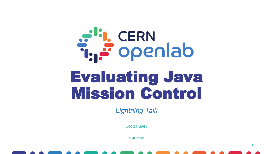# alin CERN<br>The openlab Evaluating Java Mission Control

*Lightning Talk* 

Scott Hurley

16/08/2018

1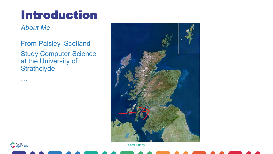#### Introduction

*About Me* 

From Paisley, Scotland Study Computer Science at the University of **Strathclyde** 





…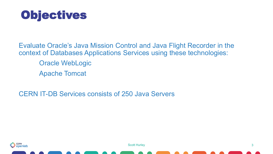

Evaluate Oracle's Java Mission Control and Java Flight Recorder in the context of Databases Applications Services using these technologies:

- Oracle WebLogic
- Apache Tomcat

CERN IT-DB Services consists of 250 Java Servers



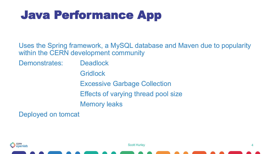### Java Performance App

Uses the Spring framework, a MySQL database and Maven due to popularity within the CERN development community

Demonstrates: Deadlock

**Gridlock** 

Excessive Garbage Collection

Effects of varying thread pool size

Memory leaks

Deployed on tomcat



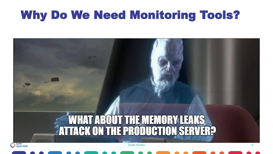#### Why Do We Need Monitoring Tools?

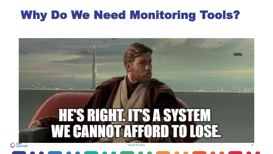#### Why Do We Need Monitoring Tools?

## **HE'S RIGHT. IIT'S A SYSTEM EANNOT AFFORD TO LOSE** Scott Hurley 6

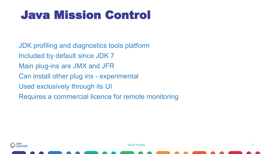#### Java Mission Control

JDK profiling and diagnostics tools platform Included by default since JDK 7 Main plug-ins are JMX and JFR Can install other plug ins - experimental Used exclusively through its UI Requires a commercial licence for remote monitoring

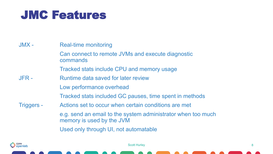#### JMC Features

JMX - Real-time monitoring Can connect to remote JVMs and execute diagnostic commands Tracked stats include CPU and memory usage JFR - Runtime data saved for later review Low performance overhead Tracked stats included GC pauses, time spent in methods Triggers - Actions set to occur when certain conditions are met e.g. send an email to the system administrator when too much memory is used by the JVM Used only through UI, not automatable

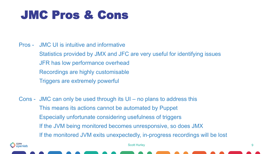#### JMC Pros & Cons

- Pros JMC UI is intuitive and informative Statistics provided by JMX and JFC are very useful for identifying issues JFR has low performance overhead Recordings are highly customisable Triggers are extremely powerful
- Cons JMC can only be used through its UI no plans to address this This means its actions cannot be automated by Puppet Especially unfortunate considering usefulness of triggers If the JVM being monitored becomes unresponsive, so does JMX If the monitored JVM exits unexpectedly, in-progress recordings will be lost

**CERN** i openlab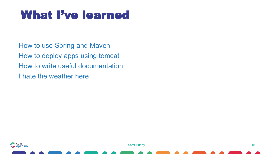#### What I've learned

How to use Spring and Maven How to deploy apps using tomcat How to write useful documentation I hate the weather here



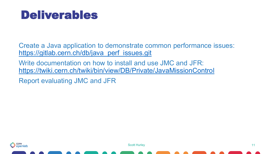#### Deliverables

Create a Java application to demonstrate common performance issues: [https://gitlab.cern.ch/db/java\\_perf\\_issues.git](https://gitlab.cern.ch/db/java_perf_issues.git)

Write documentation on how to install and use JMC and JFR: <https://twiki.cern.ch/twiki/bin/view/DB/Private/JavaMissionControl>

Report evaluating JMC and JFR



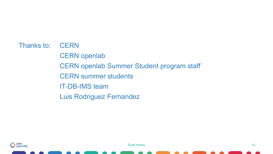Thanks to: CERN CERN openlab CERN openlab Summer Student program staff CERN summer students IT-DB-IMS team Luis Rodriguez Fernandez